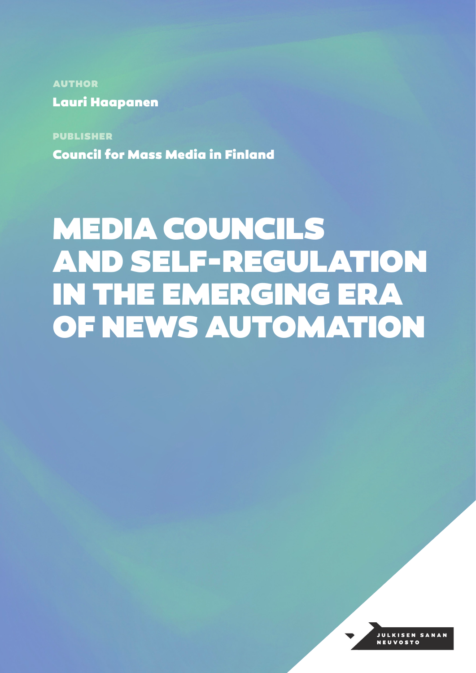AUTHOR Lauri Haapanen

PUBLISHER Council for Mass Media in Finland

# MEDIA COUNCILS AND SELF-REGULATION IN THE EMERGING ERA OF NEWS AUTOMATION

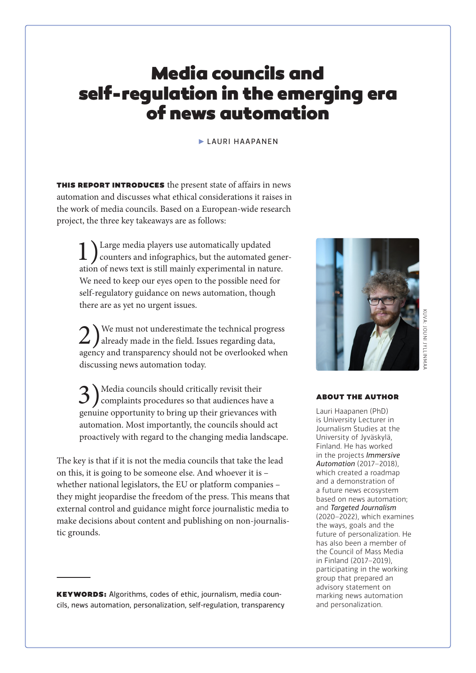# Media councils and self-regulation in the emerging era of news automation

#### ► LAURI HAAPANEN

THIS REPORT INTRODUCES the present state of affairs in news automation and discusses what ethical considerations it raises in the work of media councils. Based on a European-wide research project, the three key takeaways are as follows:

1) Large media players use automatically updated<br>counters and infographics, but the automated generation of news text is still mainly experimental in nature. We need to keep our eyes open to the possible need for self-regulatory guidance on news automation, though there are as yet no urgent issues.

2) We must not underestimate the technical progress<br>already made in the field. Issues regarding data, agency and transparency should not be overlooked when discussing news automation today.

3) Media councils should critically revisit their<br>complaints procedures so that audiences have a genuine opportunity to bring up their grievances with automation. Most importantly, the councils should act proactively with regard to the changing media landscape.

The key is that if it is not the media councils that take the lead on this, it is going to be someone else. And whoever it is – whether national legislators, the EU or platform companies – they might jeopardise the freedom of the press. This means that external control and guidance might force journalistic media to make decisions about content and publishing on non-journalistic grounds.

KEYWORDS: Algorithms, codes of ethic, journalism, media councils, news automation, personalization, self-regulation, transparency



# KUVA: JOUNI JYLLINMAA **IVA: JOUNI JYLLINN**

#### ABOUT THE AUTHOR

Lauri Haapanen (PhD) is University Lecturer in Journalism Studies at the University of Jyväskylä, Finland. He has worked in the projects *Immersive Automation* (2017–2018), which created a roadmap and a demonstration of a future news ecosystem based on news automation; and *Targeted Journalism*  (2020–2022), which examines the ways, goals and the future of personalization. He has also been a member of the Council of Mass Media in Finland (2017–2019), participating in the working group that prepared an advisory statement on marking news automation and personalization.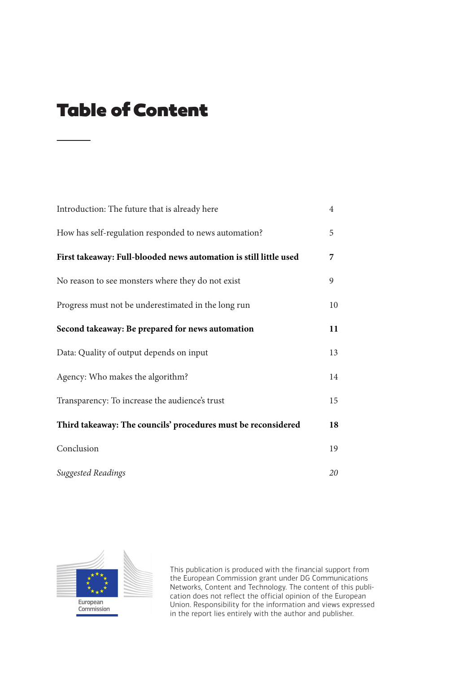# Table of Content

| Introduction: The future that is already here                     | $\overline{4}$ |
|-------------------------------------------------------------------|----------------|
| How has self-regulation responded to news automation?             | 5              |
| First takeaway: Full-blooded news automation is still little used | 7              |
| No reason to see monsters where they do not exist                 | 9              |
| Progress must not be underestimated in the long run               | 10             |
| Second takeaway: Be prepared for news automation                  | 11             |
| Data: Quality of output depends on input                          | 13             |
| Agency: Who makes the algorithm?                                  | 14             |
| Transparency: To increase the audience's trust                    | 15             |
| Third takeaway: The councils' procedures must be reconsidered     | 18             |
| Conclusion                                                        | 19             |
| Suggested Readings                                                | 20             |



This publication is produced with the financial support from the European Commission grant under DG Communications Networks, Content and Technology. The content of this publication does not reflect the official opinion of the European Union. Responsibility for the information and views expressed in the report lies entirely with the author and publisher.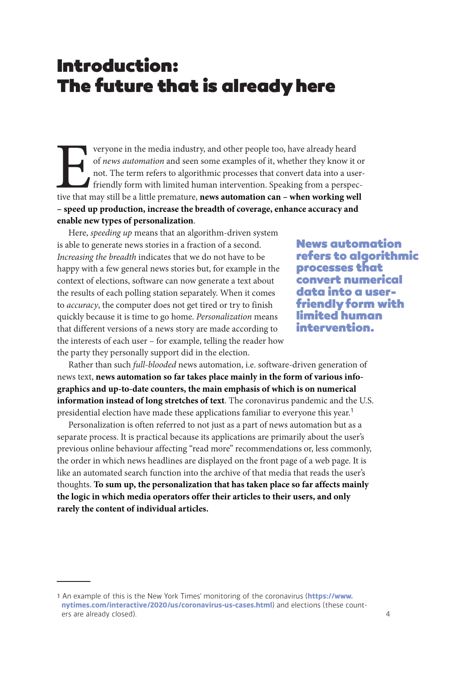## Introduction: The future that is already here

veryone in the media industry, and other people too, have already heard of *news automation* and seen some examples of it, whether they know it not. The term refers to algorithmic processes that convert data into a use fri of *news automation* and seen some examples of it, whether they know it or not. The term refers to algorithmic processes that convert data into a userfriendly form with limited human intervention. Speaking from a perspective that may still be a little premature, **news automation can – when working well – speed up production, increase the breadth of coverage, enhance accuracy and enable new types of personalization**.

Here, *speeding up* means that an algorithm-driven system is able to generate news stories in a fraction of a second. *Increasing the breadth* indicates that we do not have to be happy with a few general news stories but, for example in the context of elections, software can now generate a text about the results of each polling station separately. When it comes to *accuracy*, the computer does not get tired or try to finish quickly because it is time to go home. *Personalization* means that different versions of a news story are made according to the interests of each user – for example, telling the reader how the party they personally support did in the election.

News automation refers to algorithmic processes that convert numerical data into a userfriendly form with limited human intervention.

Rather than such *full-blooded* news automation, i.e. software-driven generation of news text, **news automation so far takes place mainly in the form of various infographics and up-to-date counters, the main emphasis of which is on numerical information instead of long stretches of text**. The coronavirus pandemic and the U.S. presidential election have made these applications familiar to everyone this year.<sup>1</sup>

Personalization is often referred to not just as a part of news automation but as a separate process. It is practical because its applications are primarily about the user's previous online behaviour affecting "read more" recommendations or, less commonly, the order in which news headlines are displayed on the front page of a web page. It is like an automated search function into the archive of that media that reads the user's thoughts. **To sum up, the personalization that has taken place so far affects mainly the logic in which media operators offer their articles to their users, and only rarely the content of individual articles.**

<sup>1</sup> An example of this is the New York Times' monitoring of the coronavirus (**[https://www.](https://www.nytimes.com/interactive/2020/us/coronavirus-us-cases.html) [nytimes.com/interactive/2020/us/coronavirus-us-cases.html](https://www.nytimes.com/interactive/2020/us/coronavirus-us-cases.html)**) and elections (these counters are already closed).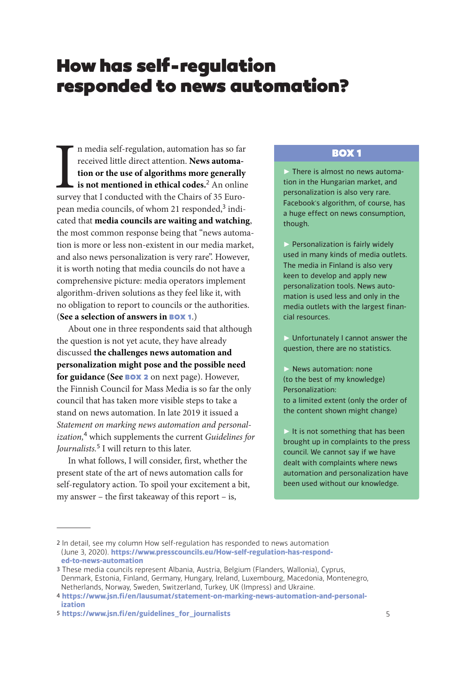#### How has self-regulation responded to news automation?

In media self-regulation, automation has so far<br>received little direct attention. News automa-<br>tion or the use of algorithms more generally<br>is not mentioned in ethical codes.<sup>2</sup> An onlin<br>survey that I conducted with the Ch n media self-regulation, automation has so far received little direct attention. **News automation or the use of algorithms more generally is not mentioned in ethical codes.**<sup>2</sup> An online pean media councils, of whom 21 responded,<sup>3</sup> indicated that **media councils are waiting and watching**, the most common response being that "news automation is more or less non-existent in our media market, and also news personalization is very rare". However, it is worth noting that media councils do not have a comprehensive picture: media operators implement algorithm-driven solutions as they feel like it, with no obligation to report to councils or the authorities. (**See a selection of answers in** BOX 1.)

About one in three respondents said that although the question is not yet acute, they have already discussed **the challenges news automation and personalization might pose and the possible need for guidance (See** BOX 2 on next page). However, the Finnish Council for Mass Media is so far the only council that has taken more visible steps to take a stand on news automation. In late 2019 it issued a *Statement on marking news automation and personalization,*<sup>4</sup> which supplements the current *Guidelines for Journalists.*<sup>5</sup> I will return to this later.

In what follows, I will consider, first, whether the present state of the art of news automation calls for self-regulatory action. To spoil your excitement a bit, my answer – the first takeaway of this report – is,

#### BOX 1

► There is almost no news automation in the Hungarian market, and personalization is also very rare. Facebook's algorithm, of course, has a huge effect on news consumption, though.

► Personalization is fairly widely used in many kinds of media outlets. The media in Finland is also very keen to develop and apply new personalization tools. News automation is used less and only in the media outlets with the largest financial resources.

► Unfortunately I cannot answer the question, there are no statistics.

► News automation: none (to the best of my knowledge) Personalization: to a limited extent (only the order of the content shown might change)

 $\blacktriangleright$  It is not something that has been brought up in complaints to the press council. We cannot say if we have dealt with complaints where news automation and personalization have been used without our knowledge.

<sup>2</sup> In detail, see my column How self-regulation has responded to news automation (June 3, 2020). **[https://www.presscouncils.eu/How-self-regulation-has-respond](https://www.presscouncils.eu/How-self-regulation-has-responded-to-news-automation)[ed-to-news-automation](https://www.presscouncils.eu/How-self-regulation-has-responded-to-news-automation)**

<sup>3</sup> These media councils represent Albania, Austria, Belgium (Flanders, Wallonia), Cyprus, Denmark, Estonia, Finland, Germany, Hungary, Ireland, Luxembourg, Macedonia, Montenegro, Netherlands, Norway, Sweden, Switzerland, Turkey, UK (Impress) and Ukraine.

<sup>4</sup> **[https://www.jsn.fi/en/lausumat/statement-on-marking-news-automation-and-personal](https://www.jsn.fi/en/lausumat/statement-on-marking-news-automation-and-personalization)[ization](https://www.jsn.fi/en/lausumat/statement-on-marking-news-automation-and-personalization)**

<sup>5</sup> **[https://www.jsn.fi/en/guidelines\\_for\\_journalists](https://www.jsn.fi/en/guidelines_for_journalists)**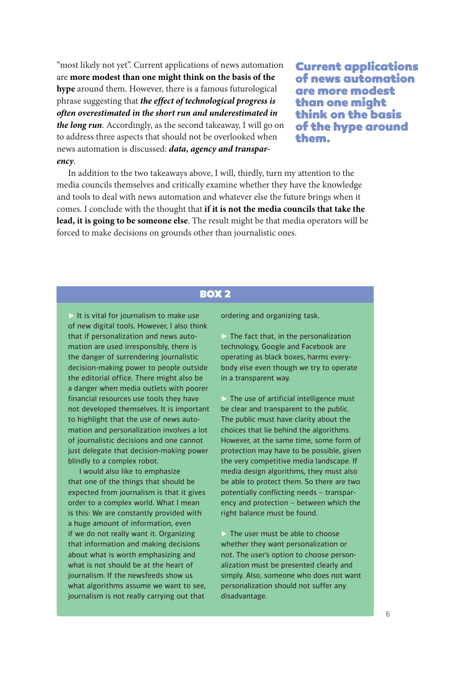"most likely not yet". Current applications of news automation are **more modest than one might think on the basis of the hype** around them. However, there is a famous futurological phrase suggesting that *the effect of technological progress is often overestimated in the short run and underestimated in the long run*. Accordingly, as the second takeaway, I will go on to address three aspects that should not be overlooked when news automation is discussed: *data, agency and transparency*.

Current applications of news automation are more modest than one might think on the basis of the hype around them.

In addition to the two takeaways above, I will, thirdly, turn my attention to the media councils themselves and critically examine whether they have the knowledge and tools to deal with news automation and whatever else the future brings when it comes. I conclude with the thought that **if it is not the media councils that take the lead, it is going to be someone else**. The result might be that media operators will be forced to make decisions on grounds other than journalistic ones.

#### BOX<sub>2</sub>

 $\triangleright$  It is vital for journalism to make use of new digital tools. However, I also think that if personalization and news automation are used irresponsibly, there is the danger of surrendering journalistic decision-making power to people outside the editorial office. There might also be a danger when media outlets with poorer financial resources use tools they have not developed themselves. It is important to highlight that the use of news automation and personalization involves a lot of journalistic decisions and one cannot just delegate that decision-making power blindly to a complex robot.

I would also like to emphasize that one of the things that should be expected from journalism is that it gives order to a complex world. What I mean is this: We are constantly provided with a huge amount of information, even if we do not really want it. Organizing that information and making decisions about what is worth emphasizing and what is not should be at the heart of journalism. If the newsfeeds show us what algorithms assume we want to see, journalism is not really carrying out that

ordering and organizing task.

 $\triangleright$  The fact that, in the personalization technology, Google and Facebook are operating as black boxes, harms everybody else even though we try to operate in a transparent way.

 $\triangleright$  The use of artificial intelligence must be clear and transparent to the public. The public must have clarity about the choices that lie behind the algorithms. However, at the same time, some form of protection may have to be possible, given the very competitive media landscape. If media design algorithms, they must also be able to protect them. So there are two potentially conflicting needs – transparency and protection – between which the right balance must be found.

 $\triangleright$  The user must be able to choose whether they want personalization or not. The user's option to choose personalization must be presented clearly and simply. Also, someone who does not want personalization should not suffer any disadvantage.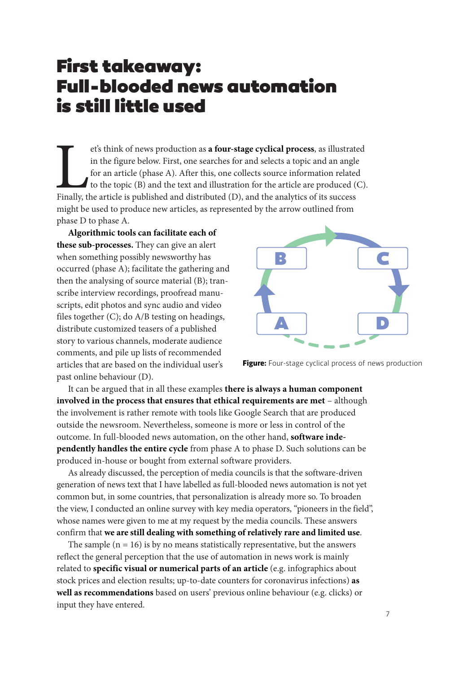## First takeaway: Full-blooded news automation is still little used

et's think of news production as **a four-stage cyclical process**, as illustrated in the figure below. First, one searches for and selects a topic and an angle for an article (phase A). After this, one collects source infor in the figure below. First, one searches for and selects a topic and an angle for an article (phase A). After this, one collects source information related to the topic (B) and the text and illustration for the article are produced (C). Finally, the article is published and distributed (D), and the analytics of its success might be used to produce new articles, as represented by the arrow outlined from phase D to phase A.

**Algorithmic tools can facilitate each of these sub-processes.** They can give an alert when something possibly newsworthy has occurred (phase A); facilitate the gathering and then the analysing of source material (B); transcribe interview recordings, proofread manuscripts, edit photos and sync audio and video files together (C); do A/B testing on headings, distribute customized teasers of a published story to various channels, moderate audience comments, and pile up lists of recommended articles that are based on the individual user's past online behaviour (D).



**Figure:** Four-stage cyclical process of news production

It can be argued that in all these examples **there is always a human component involved in the process that ensures that ethical requirements are met** – although the involvement is rather remote with tools like Google Search that are produced outside the newsroom. Nevertheless, someone is more or less in control of the outcome. In full-blooded news automation, on the other hand, **software independently handles the entire cycle** from phase A to phase D. Such solutions can be produced in-house or bought from external software providers.

As already discussed, the perception of media councils is that the software-driven generation of news text that I have labelled as full-blooded news automation is not yet common but, in some countries, that personalization is already more so. To broaden the view, I conducted an online survey with key media operators, "pioneers in the field", whose names were given to me at my request by the media councils. These answers confirm that **we are still dealing with something of relatively rare and limited use**.

The sample  $(n = 16)$  is by no means statistically representative, but the answers reflect the general perception that the use of automation in news work is mainly related to **specific visual or numerical parts of an article** (e.g. infographics about stock prices and election results; up-to-date counters for coronavirus infections) **as well as recommendations** based on users' previous online behaviour (e.g. clicks) or input they have entered.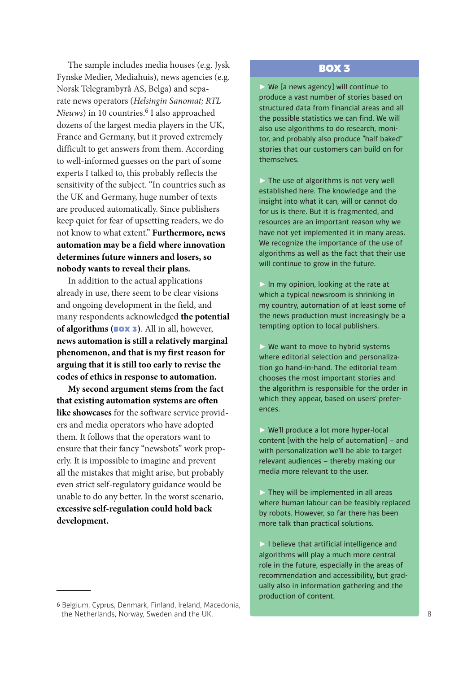The sample includes media houses (e.g. Jysk Fynske Medier, Mediahuis), news agencies (e.g. Norsk Telegrambyrå AS, Belga) and separate news operators (*Helsingin Sanomat; RTL Nieuws*) in 10 countries.<sup>6</sup> I also approached dozens of the largest media players in the UK, France and Germany, but it proved extremely difficult to get answers from them. According to well-informed guesses on the part of some experts I talked to, this probably reflects the sensitivity of the subject. "In countries such as the UK and Germany, huge number of texts are produced automatically. Since publishers keep quiet for fear of upsetting readers, we do not know to what extent." **Furthermore, news automation may be a field where innovation determines future winners and losers, so nobody wants to reveal their plans.**

In addition to the actual applications already in use, there seem to be clear visions and ongoing development in the field, and many respondents acknowledged **the potential of algorithms (**BOX 3**)**. All in all, however, **news automation is still a relatively marginal phenomenon, and that is my first reason for arguing that it is still too early to revise the codes of ethics in response to automation.**

**My second argument stems from the fact that existing automation systems are often like showcases** for the software service providers and media operators who have adopted them. It follows that the operators want to ensure that their fancy "newsbots" work properly. It is impossible to imagine and prevent all the mistakes that might arise, but probably even strict self-regulatory guidance would be unable to do any better. In the worst scenario, **excessive self-regulation could hold back development.**

#### BOX 3

► We [a news agency] will continue to produce a vast number of stories based on structured data from financial areas and all the possible statistics we can find. We will also use algorithms to do research, monitor, and probably also produce "half baked" stories that our customers can build on for themselves.

 $\triangleright$  The use of algorithms is not very well established here. The knowledge and the insight into what it can, will or cannot do for us is there. But it is fragmented, and resources are an important reason why we have not yet implemented it in many areas. We recognize the importance of the use of algorithms as well as the fact that their use will continue to grow in the future.

 $\triangleright$  In my opinion, looking at the rate at which a typical newsroom is shrinking in my country, automation of at least some of the news production must increasingly be a tempting option to local publishers.

 $\triangleright$  We want to move to hybrid systems where editorial selection and personalization go hand-in-hand. The editorial team chooses the most important stories and the algorithm is responsible for the order in which they appear, based on users' preferences.

► We'll produce a lot more hyper-local content [with the help of automation] – and with personalization we'll be able to target relevant audiences – thereby making our media more relevant to the user.

► They will be implemented in all areas where human labour can be feasibly replaced by robots. However, so far there has been more talk than practical solutions.

► I believe that artificial intelligence and algorithms will play a much more central role in the future, especially in the areas of recommendation and accessibility, but gradually also in information gathering and the production of content.

<sup>6</sup> Belgium, Cyprus, Denmark, Finland, Ireland, Macedonia, the Netherlands, Norway, Sweden and the UK.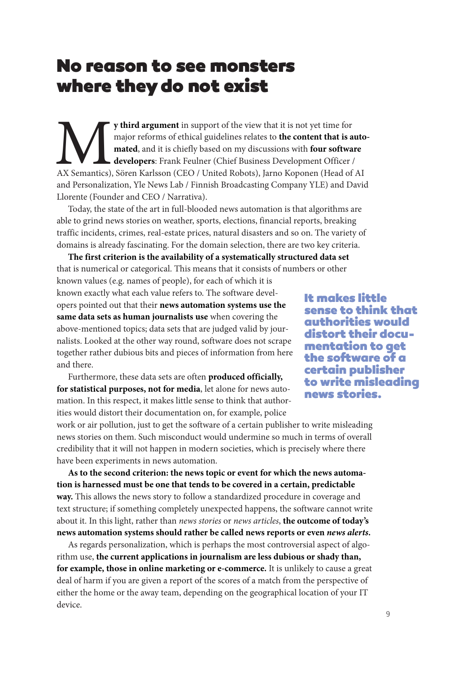#### No reason to see monsters where they do not exist

**y third argument** in support of the view that it is not yet time for major reforms of ethical guidelines relates to **the content that is automated**, and it is chiefly based on my discussions with **four software** developer major reforms of ethical guidelines relates to **the content that is automated**, and it is chiefly based on my discussions with **four software developers**: Frank Feulner (Chief Business Development Officer / and Personalization, Yle News Lab / Finnish Broadcasting Company YLE) and David Llorente (Founder and CEO / Narrativa).

Today, the state of the art in full-blooded news automation is that algorithms are able to grind news stories on weather, sports, elections, financial reports, breaking traffic incidents, crimes, real-estate prices, natural disasters and so on. The variety of domains is already fascinating. For the domain selection, there are two key criteria.

**The first criterion is the availability of a systematically structured data set** that is numerical or categorical. This means that it consists of numbers or other known values (e.g. names of people), for each of which it is known exactly what each value refers to. The software developers pointed out that their **news automation systems use the same data sets as human journalists use** when covering the above-mentioned topics; data sets that are judged valid by journalists. Looked at the other way round, software does not scrape together rather dubious bits and pieces of information from here and there.

Furthermore, these data sets are often **produced officially, for statistical purposes, not for media**, let alone for news automation. In this respect, it makes little sense to think that authorities would distort their documentation on, for example, police

It makes little sense to think that authorities would distort their docu- mentation to get the software of a certain publisher to write misleading news stories.

work or air pollution, just to get the software of a certain publisher to write misleading news stories on them. Such misconduct would undermine so much in terms of overall credibility that it will not happen in modern societies, which is precisely where there have been experiments in news automation.

**As to the second criterion: the news topic or event for which the news automation is harnessed must be one that tends to be covered in a certain, predictable way.** This allows the news story to follow a standardized procedure in coverage and text structure; if something completely unexpected happens, the software cannot write about it. In this light, rather than *news stories* or *news articles*, **the outcome of today's news automation systems should rather be called news reports or even** *news alerts***.**

As regards personalization, which is perhaps the most controversial aspect of algorithm use, **the current applications in journalism are less dubious or shady than, for example, those in online marketing or e-commerce.** It is unlikely to cause a great deal of harm if you are given a report of the scores of a match from the perspective of either the home or the away team, depending on the geographical location of your IT device.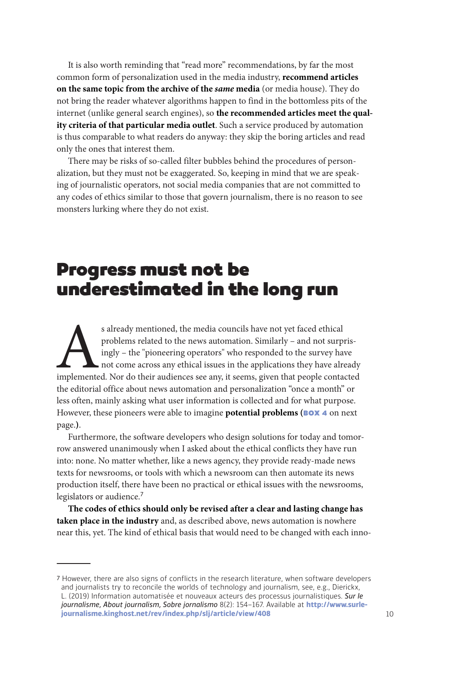It is also worth reminding that "read more" recommendations, by far the most common form of personalization used in the media industry, **recommend articles on the same topic from the archive of the** *same* **media** (or media house). They do not bring the reader whatever algorithms happen to find in the bottomless pits of the internet (unlike general search engines), so **the recommended articles meet the quality criteria of that particular media outlet**. Such a service produced by automation is thus comparable to what readers do anyway: they skip the boring articles and read only the ones that interest them.

There may be risks of so-called filter bubbles behind the procedures of personalization, but they must not be exaggerated. So, keeping in mind that we are speaking of journalistic operators, not social media companies that are not committed to any codes of ethics similar to those that govern journalism, there is no reason to see monsters lurking where they do not exist.

## Progress must not be underestimated in the long run

s already mentioned, the media councils have not yet faced ethical<br>
problems related to the news automation. Similarly – and not surpris-<br>
ingly – the "pioneering operators" who responded to the survey have<br>
not come acros problems related to the news automation. Similarly – and not surprisingly – the "pioneering operators" who responded to the survey have not come across any ethical issues in the applications they have already the editorial office about news automation and personalization "once a month" or less often, mainly asking what user information is collected and for what purpose. However, these pioneers were able to imagine **potential problems (BOX 4** on next page.**)**.

Furthermore, the software developers who design solutions for today and tomorrow answered unanimously when I asked about the ethical conflicts they have run into: none. No matter whether, like a news agency, they provide ready-made news texts for newsrooms, or tools with which a newsroom can then automate its news production itself, there have been no practical or ethical issues with the newsrooms, legislators or audience.<sup>7</sup>

**The codes of ethics should only be revised after a clear and lasting change has taken place in the industry** and, as described above, news automation is nowhere near this, yet. The kind of ethical basis that would need to be changed with each inno-

<sup>7</sup> However, there are also signs of conflicts in the research literature, when software developers and journalists try to reconcile the worlds of technology and journalism, see, e.g., Dierickx, L. (2019) Information automatisée et nouveaux acteurs des processus journalistiques. *Sur le journalisme, About journalism, Sobre jornalismo* 8(2): 154−167. Available at **[http://www.surle](http://www.surlejournalisme.kinghost.net/rev/index.php/slj/article/view/408)[journalisme.kinghost.net/rev/index.php/slj/article/view/408](http://www.surlejournalisme.kinghost.net/rev/index.php/slj/article/view/408)**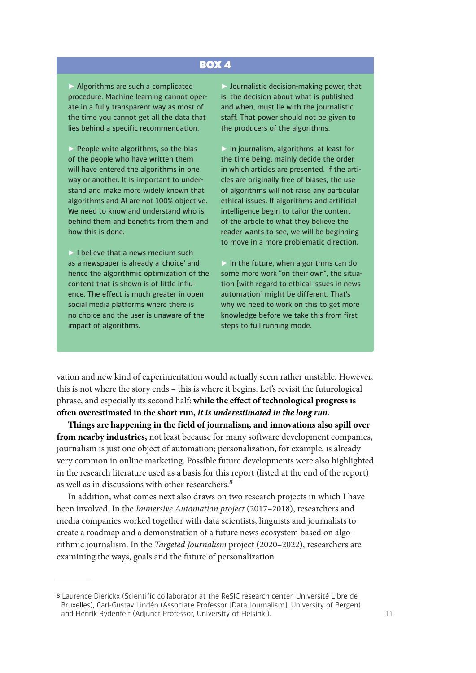#### BOX 4

 $\triangleright$  Algorithms are such a complicated procedure. Machine learning cannot operate in a fully transparent way as most of the time you cannot get all the data that lies behind a specific recommendation.

► People write algorithms, so the bias of the people who have written them will have entered the algorithms in one way or another. It is important to understand and make more widely known that algorithms and AI are not 100% objective. We need to know and understand who is behind them and benefits from them and how this is done.

 $\triangleright$  I believe that a news medium such as a newspaper is already a 'choice' and hence the algorithmic optimization of the content that is shown is of little influence. The effect is much greater in open social media platforms where there is no choice and the user is unaware of the impact of algorithms.

 $\triangleright$  Journalistic decision-making power, that is, the decision about what is published and when, must lie with the journalistic staff. That power should not be given to the producers of the algorithms.

► In journalism, algorithms, at least for the time being, mainly decide the order in which articles are presented. If the articles are originally free of biases, the use of algorithms will not raise any particular ethical issues. If algorithms and artificial intelligence begin to tailor the content of the article to what they believe the reader wants to see, we will be beginning to move in a more problematic direction.

 $\triangleright$  In the future, when algorithms can do some more work "on their own", the situation [with regard to ethical issues in news automation] might be different. That's why we need to work on this to get more knowledge before we take this from first steps to full running mode.

vation and new kind of experimentation would actually seem rather unstable. However, this is not where the story ends – this is where it begins. Let's revisit the futurological phrase, and especially its second half: **while the effect of technological progress is often overestimated in the short run,** *it is underestimated in the long run***.**

**Things are happening in the field of journalism, and innovations also spill over from nearby industries,** not least because for many software development companies, journalism is just one object of automation; personalization, for example, is already very common in online marketing. Possible future developments were also highlighted in the research literature used as a basis for this report (listed at the end of the report) as well as in discussions with other researchers.<sup>8</sup>

In addition, what comes next also draws on two research projects in which I have been involved. In the *Immersive Automation project* (2017–2018), researchers and media companies worked together with data scientists, linguists and journalists to create a roadmap and a demonstration of a future news ecosystem based on algorithmic journalism. In the *Targeted Journalism* project (2020–2022), researchers are examining the ways, goals and the future of personalization.

<sup>8</sup> Laurence Dierickx (Scientific collaborator at the ReSIC research center, Université Libre de Bruxelles), Carl-Gustav Lindén (Associate Professor [Data Journalism], University of Bergen) and Henrik Rydenfelt (Adjunct Professor, University of Helsinki).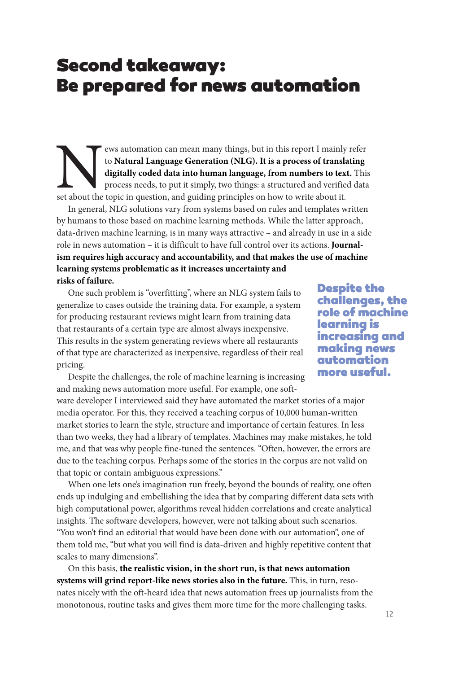#### Second takeaway: Be prepared for news automation

News automation can mean many things, but in this report I mainly refer to **Natural Language Generation (NLG). It is a process of translating digitally coded data into human language, from numbers to text.** This process needs, to put it simply, two things: a structured and verified data set about the topic in question, and guiding principles on how to write about it.

In general, NLG solutions vary from systems based on rules and templates written by humans to those based on machine learning methods. While the latter approach, data-driven machine learning, is in many ways attractive – and already in use in a side role in news automation – it is difficult to have full control over its actions. **Journalism requires high accuracy and accountability, and that makes the use of machine learning systems problematic as it increases uncertainty and risks of failure.**

One such problem is "overfitting", where an NLG system fails to generalize to cases outside the training data. For example, a system for producing restaurant reviews might learn from training data that restaurants of a certain type are almost always inexpensive. This results in the system generating reviews where all restaurants of that type are characterized as inexpensive, regardless of their real pricing.

Despite the challenges, the role of machine learning is increasing and making news automation more useful. For example, one soft-

ware developer I interviewed said they have automated the market stories of a major media operator. For this, they received a teaching corpus of 10,000 human-written market stories to learn the style, structure and importance of certain features. In less than two weeks, they had a library of templates. Machines may make mistakes, he told me, and that was why people fine-tuned the sentences. "Often, however, the errors are due to the teaching corpus. Perhaps some of the stories in the corpus are not valid on that topic or contain ambiguous expressions."

When one lets one's imagination run freely, beyond the bounds of reality, one often ends up indulging and embellishing the idea that by comparing different data sets with high computational power, algorithms reveal hidden correlations and create analytical insights. The software developers, however, were not talking about such scenarios. "You won't find an editorial that would have been done with our automation", one of them told me, "but what you will find is data-driven and highly repetitive content that scales to many dimensions".

On this basis, **the realistic vision, in the short run, is that news automation systems will grind report-like news stories also in the future.** This, in turn, resonates nicely with the oft-heard idea that news automation frees up journalists from the monotonous, routine tasks and gives them more time for the more challenging tasks.

Despite the challenges, the role of machine learning is increasing and making news automation more useful.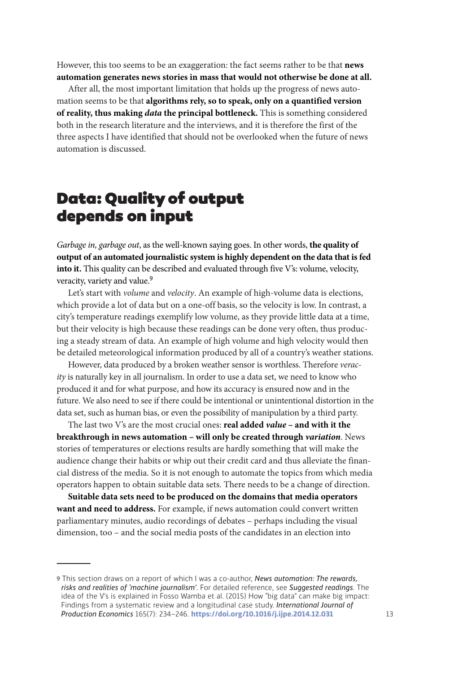However, this too seems to be an exaggeration: the fact seems rather to be that **news automation generates news stories in mass that would not otherwise be done at all.**

After all, the most important limitation that holds up the progress of news automation seems to be that **algorithms rely, so to speak, only on a quantified version of reality, thus making** *data* **the principal bottleneck.** This is something considered both in the research literature and the interviews, and it is therefore the first of the three aspects I have identified that should not be overlooked when the future of news automation is discussed.

#### Data: Quality of output depends on input

*Garbage in, garbage out*, as the well-known saying goes. In other words, **the quality of output of an automated journalistic system is highly dependent on the data that is fed into it.** This quality can be described and evaluated through five V's: volume, velocity, veracity, variety and value.<sup>9</sup>

Let's start with *volume* and *velocity*. An example of high-volume data is elections, which provide a lot of data but on a one-off basis, so the velocity is low. In contrast, a city's temperature readings exemplify low volume, as they provide little data at a time, but their velocity is high because these readings can be done very often, thus producing a steady stream of data. An example of high volume and high velocity would then be detailed meteorological information produced by all of a country's weather stations.

However, data produced by a broken weather sensor is worthless. Therefore *veracity* is naturally key in all journalism. In order to use a data set, we need to know who produced it and for what purpose, and how its accuracy is ensured now and in the future. We also need to see if there could be intentional or unintentional distortion in the data set, such as human bias, or even the possibility of manipulation by a third party.

The last two V's are the most crucial ones: **real added** *value* **– and with it the breakthrough in news automation – will only be created through** *variation*. News stories of temperatures or elections results are hardly something that will make the audience change their habits or whip out their credit card and thus alleviate the financial distress of the media. So it is not enough to automate the topics from which media operators happen to obtain suitable data sets. There needs to be a change of direction.

**Suitable data sets need to be produced on the domains that media operators want and need to address.** For example, if news automation could convert written parliamentary minutes, audio recordings of debates – perhaps including the visual dimension, too – and the social media posts of the candidates in an election into

<sup>9</sup> This section draws on a report of which I was a co-author, *News automation: The rewards, risks and realities of 'machine journalism'*. For detailed reference, see *Suggested readings*. The idea of the V's is explained in Fosso Wamba et al. (2015) How "big data" can make big impact: Findings from a systematic review and a longitudinal case study. *International Journal of Production Economics* 165(7): 234−246. **<https://doi.org/10.1016/j.ijpe.2014.12.031>**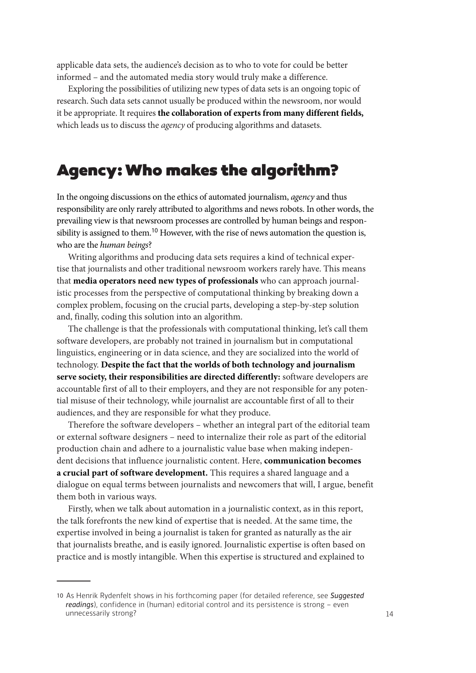applicable data sets, the audience's decision as to who to vote for could be better informed – and the automated media story would truly make a difference.

Exploring the possibilities of utilizing new types of data sets is an ongoing topic of research. Such data sets cannot usually be produced within the newsroom, nor would it be appropriate. It requires **the collaboration of experts from many different fields,**  which leads us to discuss the *agency* of producing algorithms and datasets.

#### Agency: Who makes the algorithm?

In the ongoing discussions on the ethics of automated journalism, *agency* and thus responsibility are only rarely attributed to algorithms and news robots. In other words, the prevailing view is that newsroom processes are controlled by human beings and responsibility is assigned to them.<sup>10</sup> However, with the rise of news automation the question is, who are the *human beings*?

Writing algorithms and producing data sets requires a kind of technical expertise that journalists and other traditional newsroom workers rarely have. This means that **media operators need new types of professionals** who can approach journalistic processes from the perspective of computational thinking by breaking down a complex problem, focusing on the crucial parts, developing a step-by-step solution and, finally, coding this solution into an algorithm.

The challenge is that the professionals with computational thinking, let's call them software developers, are probably not trained in journalism but in computational linguistics, engineering or in data science, and they are socialized into the world of technology. **Despite the fact that the worlds of both technology and journalism serve society, their responsibilities are directed differently:** software developers are accountable first of all to their employers, and they are not responsible for any potential misuse of their technology, while journalist are accountable first of all to their audiences, and they are responsible for what they produce.

Therefore the software developers – whether an integral part of the editorial team or external software designers – need to internalize their role as part of the editorial production chain and adhere to a journalistic value base when making independent decisions that influence journalistic content. Here, **communication becomes a crucial part of software development.** This requires a shared language and a dialogue on equal terms between journalists and newcomers that will, I argue, benefit them both in various ways.

Firstly, when we talk about automation in a journalistic context, as in this report, the talk forefronts the new kind of expertise that is needed. At the same time, the expertise involved in being a journalist is taken for granted as naturally as the air that journalists breathe, and is easily ignored. Journalistic expertise is often based on practice and is mostly intangible. When this expertise is structured and explained to

<sup>10</sup> As Henrik Rydenfelt shows in his forthcoming paper (for detailed reference, see *Suggested readings*), confidence in (human) editorial control and its persistence is strong − even unnecessarily strong?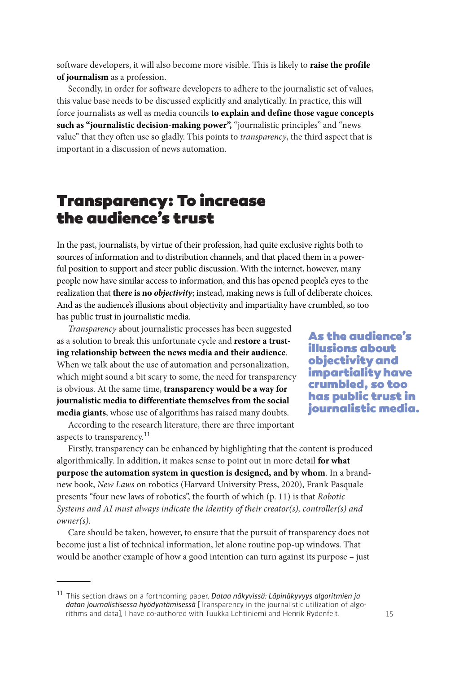software developers, it will also become more visible. This is likely to **raise the profile of journalism** as a profession.

Secondly, in order for software developers to adhere to the journalistic set of values, this value base needs to be discussed explicitly and analytically. In practice, this will force journalists as well as media councils **to explain and define those vague concepts such as "journalistic decision-making power",** "journalistic principles" and "news value" that they often use so gladly. This points to *transparency*, the third aspect that is important in a discussion of news automation.

#### Transparency: To increase the audience's trust

In the past, journalists, by virtue of their profession, had quite exclusive rights both to sources of information and to distribution channels, and that placed them in a powerful position to support and steer public discussion. With the internet, however, many people now have similar access to information, and this has opened people's eyes to the realization that **there is no** *objectivity*; instead, making news is full of deliberate choices. And as the audience's illusions about objectivity and impartiality have crumbled, so too has public trust in journalistic media.

*Transparency* about journalistic processes has been suggested as a solution to break this unfortunate cycle and **restore a trusting relationship between the news media and their audience**. When we talk about the use of automation and personalization, which might sound a bit scary to some, the need for transparency is obvious. At the same time, **transparency would be a way for journalistic media to differentiate themselves from the social media giants**, whose use of algorithms has raised many doubts.

According to the research literature, there are three important aspects to transparency.<sup>11</sup>

As the audience's illusions about objectivity and impartiality have crumbled, so too has public trust in journalistic media.

Firstly, transparency can be enhanced by highlighting that the content is produced algorithmically. In addition, it makes sense to point out in more detail **for what purpose the automation system in question is designed, and by whom**. In a brandnew book, *New Laws* on robotics (Harvard University Press, 2020), Frank Pasquale presents "four new laws of robotics", the fourth of which (p. 11) is that *Robotic Systems and AI must always indicate the identity of their creator(s), controller(s) and owner(s)*.

Care should be taken, however, to ensure that the pursuit of transparency does not become just a list of technical information, let alone routine pop-up windows. That would be another example of how a good intention can turn against its purpose – just

<sup>11</sup> This section draws on a forthcoming paper, *Dataa näkyvissä: Läpinäkyvyys algoritmien ja datan journalistisessa hyödyntämisessä* [Transparency in the journalistic utilization of algorithms and data], I have co-authored with Tuukka Lehtiniemi and Henrik Rydenfelt.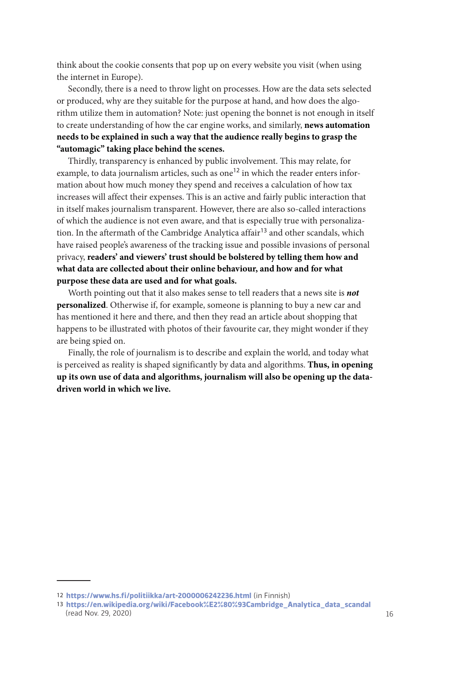think about the cookie consents that pop up on every website you visit (when using the internet in Europe).

Secondly, there is a need to throw light on processes. How are the data sets selected or produced, why are they suitable for the purpose at hand, and how does the algorithm utilize them in automation? Note: just opening the bonnet is not enough in itself to create understanding of how the car engine works, and similarly, **news automation needs to be explained in such a way that the audience really begins to grasp the "automagic" taking place behind the scenes.**

Thirdly, transparency is enhanced by public involvement. This may relate, for example, to data journalism articles, such as one<sup>12</sup> in which the reader enters information about how much money they spend and receives a calculation of how tax increases will affect their expenses. This is an active and fairly public interaction that in itself makes journalism transparent. However, there are also so-called interactions of which the audience is not even aware, and that is especially true with personalization. In the aftermath of the Cambridge Analytica affair<sup>13</sup> and other scandals, which have raised people's awareness of the tracking issue and possible invasions of personal privacy, **readers' and viewers' trust should be bolstered by telling them how and what data are collected about their online behaviour, and how and for what purpose these data are used and for what goals.**

Worth pointing out that it also makes sense to tell readers that a news site is *not*  **personalized**. Otherwise if, for example, someone is planning to buy a new car and has mentioned it here and there, and then they read an article about shopping that happens to be illustrated with photos of their favourite car, they might wonder if they are being spied on.

Finally, the role of journalism is to describe and explain the world, and today what is perceived as reality is shaped significantly by data and algorithms. **Thus, in opening up its own use of data and algorithms, journalism will also be opening up the datadriven world in which we live.**

<sup>12</sup> **<https://www.hs.fi/politiikka/art-2000006242236.html>** (in Finnish)

<sup>13</sup> **[https://en.wikipedia.org/wiki/Facebook%E2%80%93Cambridge\\_Analytica\\_data\\_scandal](https://en.wikipedia.org/wiki/Facebook%E2%80%93Cambridge_Analytica_data_scandal)** (read Nov. 29, 2020)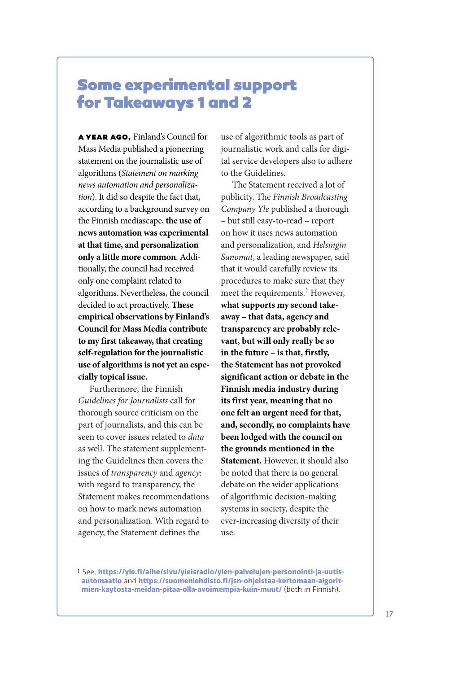#### Some experimental support for Takeaways 1 and 2

A YEAR AGO, Finland's Council for Mass Media published a pioneering statement on the journalistic use of algorithms (*Statement on marking news automation and personalization*). It did so despite the fact that, according to a background survey on the Finnish mediascape, **the use of news automation was experimental at that time, and personalization only a little more common**. Additionally, the council had received only one complaint related to algorithms. Nevertheless, the council decided to act proactively. **These empirical observations by Finland's Council for Mass Media contribute to my first takeaway, that creating self-regulation for the journalistic use of algorithms is not yet an especially topical issue.**

Furthermore, the Finnish *Guidelines for Journalists* call for thorough source criticism on the part of journalists, and this can be seen to cover issues related to *data* as well. The statement supplementing the Guidelines then covers the issues of *transparency* and *agency*: with regard to transparency, the Statement makes recommendations on how to mark news automation and personalization. With regard to agency, the Statement defines the

use of algorithmic tools as part of journalistic work and calls for digital service developers also to adhere to the Guidelines.

The Statement received a lot of publicity. The *Finnish Broadcasting Company Yle* published a thorough – but still easy-to-read – report on how it uses news automation and personalization, and *Helsingin Sanomat*, a leading newspaper, said that it would carefully review its procedures to make sure that they meet the requirements.<sup>1</sup> However, **what supports my second takeaway – that data, agency and transparency are probably relevant, but will only really be so in the future – is that, firstly, the Statement has not provoked significant action or debate in the Finnish media industry during its first year, meaning that no one felt an urgent need for that, and, secondly, no complaints have been lodged with the council on the grounds mentioned in the Statement.** However, it should also be noted that there is no general debate on the wider applications of algorithmic decision-making systems in society, despite the ever-increasing diversity of their use.

1 See, **[https://yle.fi/aihe/sivu/yleisradio/ylen-palvelujen-personointi-ja-uutis](https://yle.fi/aihe/sivu/yleisradio/ylen-palvelujen-personointi-ja-uutisautomaatio)[automaatio](https://yle.fi/aihe/sivu/yleisradio/ylen-palvelujen-personointi-ja-uutisautomaatio)** and **[https://suomenlehdisto.fi/jsn-ohjeistaa-kertomaan-algorit](https://suomenlehdisto.fi/jsn-ohjeistaa-kertomaan-algoritmien-kaytosta-meidan-pitaa-olla-avoimempia-kuin-muut/)[mien-kaytosta-meidan-pitaa-olla-avoimempia-kuin-muut/](https://suomenlehdisto.fi/jsn-ohjeistaa-kertomaan-algoritmien-kaytosta-meidan-pitaa-olla-avoimempia-kuin-muut/)** (both in Finnish).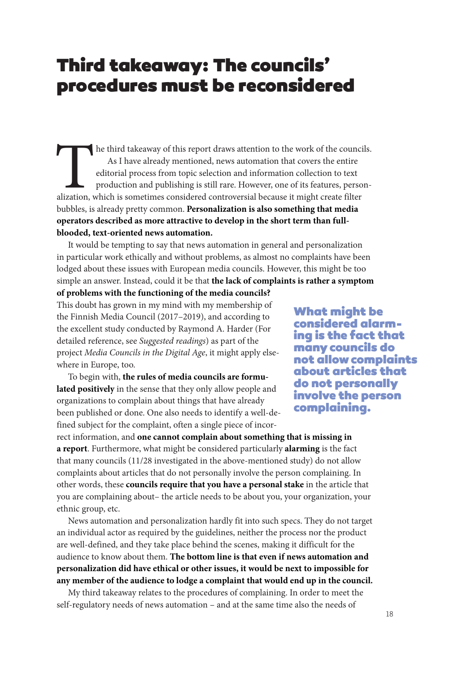#### Third takeaway: The councils' procedures must be reconsidered

The third takeaway of this report draws attention to the work of the councils. As I have already mentioned, news automation that covers the entire editorial process from topic selection and information collection to text production and publishing is still rare. However, one of its features, personalization, which is sometimes considered controversial because it might create filter bubbles, is already pretty common. **Personalization is also something that media operators described as more attractive to develop in the short term than fullblooded, text-oriented news automation.**

It would be tempting to say that news automation in general and personalization in particular work ethically and without problems, as almost no complaints have been lodged about these issues with European media councils. However, this might be too simple an answer. Instead, could it be that **the lack of complaints is rather a symptom** 

**of problems with the functioning of the media councils?**

This doubt has grown in my mind with my membership of the Finnish Media Council (2017–2019), and according to the excellent study conducted by Raymond A. Harder (For detailed reference, see *Suggested readings*) as part of the project *Media Councils in the Digital Age*, it might apply elsewhere in Europe, too.

To begin with, **the rules of media councils are formulated positively** in the sense that they only allow people and organizations to complain about things that have already been published or done. One also needs to identify a well-defined subject for the complaint, often a single piece of incor-

What might be considered alarming is the fact that many councils do not allow complaints about articles that do not personally involve the person complaining.

rect information, and **one cannot complain about something that is missing in a report**. Furthermore, what might be considered particularly **alarming** is the fact that many councils (11/28 investigated in the above-mentioned study) do not allow complaints about articles that do not personally involve the person complaining. In other words, these **councils require that you have a personal stake** in the article that you are complaining about– the article needs to be about you, your organization, your ethnic group, etc.

News automation and personalization hardly fit into such specs. They do not target an individual actor as required by the guidelines, neither the process nor the product are well-defined, and they take place behind the scenes, making it difficult for the audience to know about them. **The bottom line is that even if news automation and personalization did have ethical or other issues, it would be next to impossible for any member of the audience to lodge a complaint that would end up in the council.**

My third takeaway relates to the procedures of complaining. In order to meet the self-regulatory needs of news automation – and at the same time also the needs of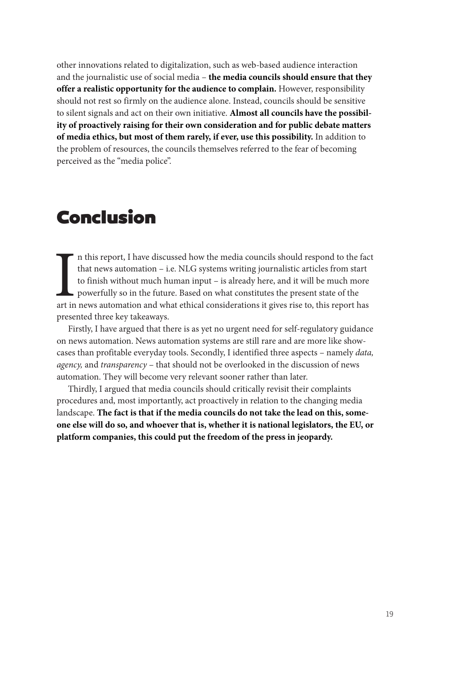other innovations related to digitalization, such as web-based audience interaction and the journalistic use of social media – **the media councils should ensure that they offer a realistic opportunity for the audience to complain.** However, responsibility should not rest so firmly on the audience alone. Instead, councils should be sensitive to silent signals and act on their own initiative. **Almost all councils have the possibility of proactively raising for their own consideration and for public debate matters of media ethics, but most of them rarely, if ever, use this possibility.** In addition to the problem of resources, the councils themselves referred to the fear of becoming perceived as the "media police".

## Conclusion

In this report, I have discussed how the media councils should respond to the fact that news automation – i.e. NLG systems writing journalistic articles from start to finish without much human input – is already here, and n this report, I have discussed how the media councils should respond to the fact that news automation – i.e. NLG systems writing journalistic articles from start to finish without much human input – is already here, and it will be much more powerfully so in the future. Based on what constitutes the present state of the presented three key takeaways.

Firstly, I have argued that there is as yet no urgent need for self-regulatory guidance on news automation. News automation systems are still rare and are more like showcases than profitable everyday tools. Secondly, I identified three aspects – namely *data, agency,* and *transparency* – that should not be overlooked in the discussion of news automation. They will become very relevant sooner rather than later.

Thirdly, I argued that media councils should critically revisit their complaints procedures and, most importantly, act proactively in relation to the changing media landscape. **The fact is that if the media councils do not take the lead on this, someone else will do so, and whoever that is, whether it is national legislators, the EU, or platform companies, this could put the freedom of the press in jeopardy.**